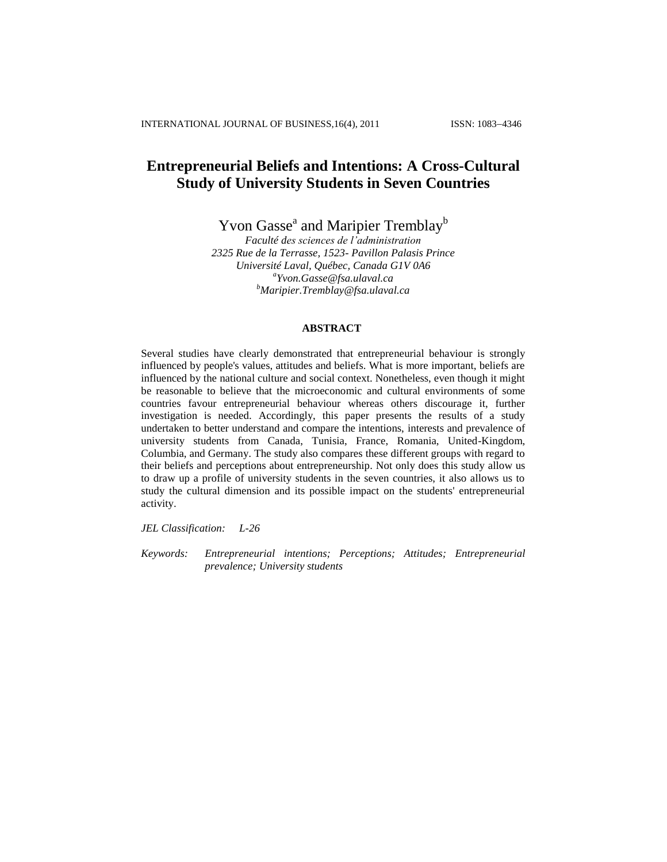# **Entrepreneurial Beliefs and Intentions: A Cross-Cultural Study of University Students in Seven Countries**

Yvon Gasse<sup>a</sup> and Maripier Tremblay<sup>b</sup>

*Faculté des sciences de l'administration 2325 Rue de la Terrasse, 1523- Pavillon Palasis Prince Université Laval, Québec, Canada G1V 0A6 a [Yvon.Gasse@fsa.ulaval.ca](mailto:Yvon.Gasse@fsa.ulaval.ca) <sup>b</sup>[Maripier.Tremblay@fsa.ulaval.ca](mailto:Maripier.Tremblay@fsa.ulaval.ca)*

# **ABSTRACT**

Several studies have clearly demonstrated that entrepreneurial behaviour is strongly influenced by people's values, attitudes and beliefs. What is more important, beliefs are influenced by the national culture and social context. Nonetheless, even though it might be reasonable to believe that the microeconomic and cultural environments of some countries favour entrepreneurial behaviour whereas others discourage it, further investigation is needed. Accordingly, this paper presents the results of a study undertaken to better understand and compare the intentions, interests and prevalence of university students from Canada, Tunisia, France, Romania, United-Kingdom, Columbia, and Germany. The study also compares these different groups with regard to their beliefs and perceptions about entrepreneurship. Not only does this study allow us to draw up a profile of university students in the seven countries, it also allows us to study the cultural dimension and its possible impact on the students' entrepreneurial activity.

*JEL Classification: L-26* 

*Keywords: Entrepreneurial intentions; Perceptions; Attitudes; Entrepreneurial prevalence; University students*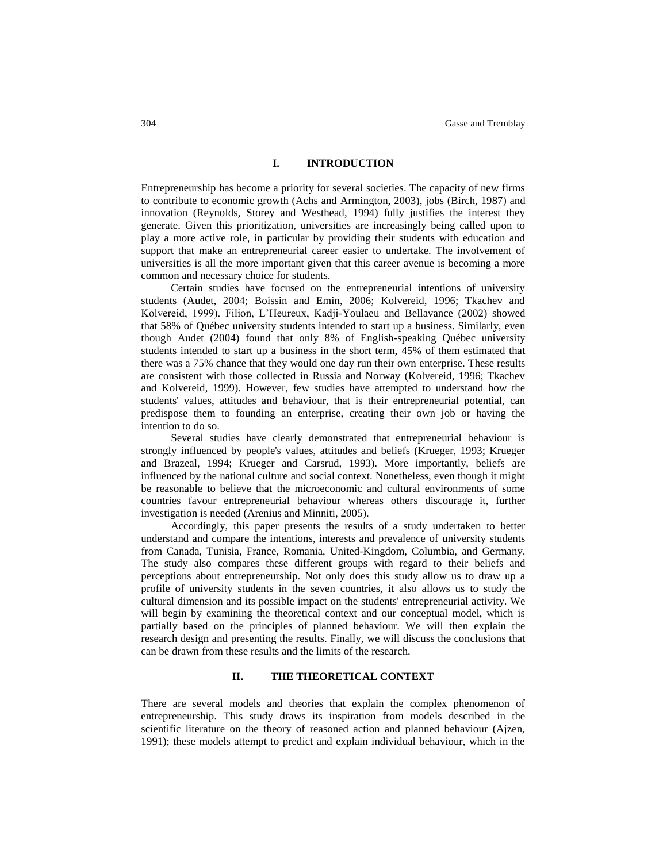## **I. INTRODUCTION**

Entrepreneurship has become a priority for several societies. The capacity of new firms to contribute to economic growth (Achs and Armington, 2003), jobs (Birch, 1987) and innovation (Reynolds, Storey and Westhead, 1994) fully justifies the interest they generate. Given this prioritization, universities are increasingly being called upon to play a more active role, in particular by providing their students with education and support that make an entrepreneurial career easier to undertake. The involvement of universities is all the more important given that this career avenue is becoming a more common and necessary choice for students.

Certain studies have focused on the entrepreneurial intentions of university students (Audet, 2004; Boissin and Emin, 2006; Kolvereid, 1996; Tkachev and Kolvereid, 1999). Filion, L'Heureux, Kadji-Youlaeu and Bellavance (2002) showed that 58% of Québec university students intended to start up a business. Similarly, even though Audet (2004) found that only 8% of English-speaking Québec university students intended to start up a business in the short term, 45% of them estimated that there was a 75% chance that they would one day run their own enterprise. These results are consistent with those collected in Russia and Norway (Kolvereid, 1996; Tkachev and Kolvereid, 1999). However, few studies have attempted to understand how the students' values, attitudes and behaviour, that is their entrepreneurial potential, can predispose them to founding an enterprise, creating their own job or having the intention to do so.

Several studies have clearly demonstrated that entrepreneurial behaviour is strongly influenced by people's values, attitudes and beliefs (Krueger, 1993; Krueger and Brazeal, 1994; Krueger and Carsrud, 1993). More importantly, beliefs are influenced by the national culture and social context. Nonetheless, even though it might be reasonable to believe that the microeconomic and cultural environments of some countries favour entrepreneurial behaviour whereas others discourage it, further investigation is needed (Arenius and Minniti, 2005).

Accordingly, this paper presents the results of a study undertaken to better understand and compare the intentions, interests and prevalence of university students from Canada, Tunisia, France, Romania, United-Kingdom, Columbia, and Germany. The study also compares these different groups with regard to their beliefs and perceptions about entrepreneurship. Not only does this study allow us to draw up a profile of university students in the seven countries, it also allows us to study the cultural dimension and its possible impact on the students' entrepreneurial activity. We will begin by examining the theoretical context and our conceptual model, which is partially based on the principles of planned behaviour. We will then explain the research design and presenting the results. Finally, we will discuss the conclusions that can be drawn from these results and the limits of the research.

# **II. THE THEORETICAL CONTEXT**

There are several models and theories that explain the complex phenomenon of entrepreneurship. This study draws its inspiration from models described in the scientific literature on the theory of reasoned action and planned behaviour (Ajzen, 1991); these models attempt to predict and explain individual behaviour, which in the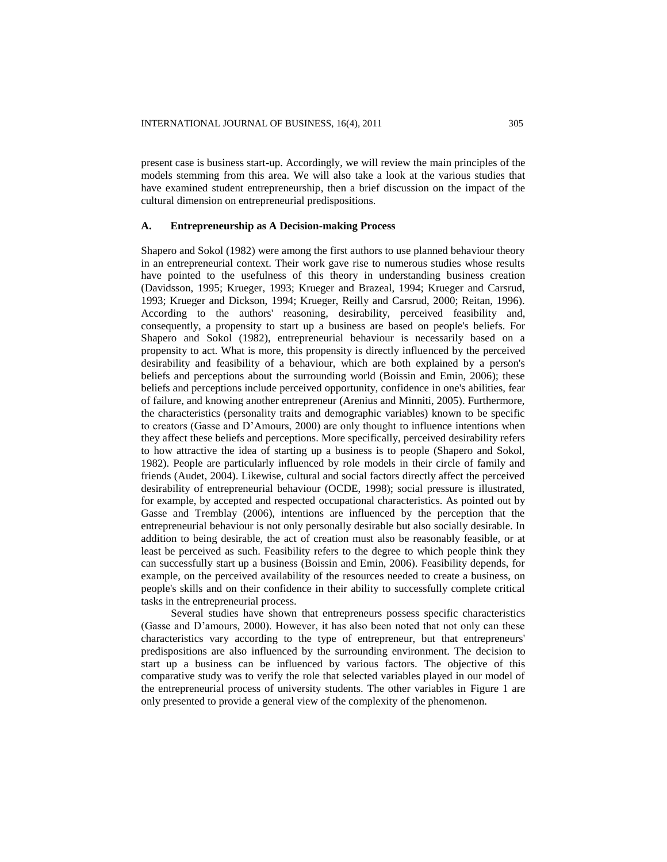present case is business start-up. Accordingly, we will review the main principles of the models stemming from this area. We will also take a look at the various studies that have examined student entrepreneurship, then a brief discussion on the impact of the cultural dimension on entrepreneurial predispositions.

## **A. Entrepreneurship as A Decision-making Process**

Shapero and Sokol (1982) were among the first authors to use planned behaviour theory in an entrepreneurial context. Their work gave rise to numerous studies whose results have pointed to the usefulness of this theory in understanding business creation (Davidsson, 1995; Krueger, 1993; Krueger and Brazeal, 1994; Krueger and Carsrud, 1993; Krueger and Dickson, 1994; Krueger, Reilly and Carsrud, 2000; Reitan, 1996). According to the authors' reasoning, desirability, perceived feasibility and, consequently, a propensity to start up a business are based on people's beliefs. For Shapero and Sokol (1982), entrepreneurial behaviour is necessarily based on a propensity to act. What is more, this propensity is directly influenced by the perceived desirability and feasibility of a behaviour, which are both explained by a person's beliefs and perceptions about the surrounding world (Boissin and Emin, 2006); these beliefs and perceptions include perceived opportunity, confidence in one's abilities, fear of failure, and knowing another entrepreneur (Arenius and Minniti, 2005). Furthermore, the characteristics (personality traits and demographic variables) known to be specific to creators (Gasse and D'Amours, 2000) are only thought to influence intentions when they affect these beliefs and perceptions. More specifically, perceived desirability refers to how attractive the idea of starting up a business is to people (Shapero and Sokol, 1982). People are particularly influenced by role models in their circle of family and friends (Audet, 2004). Likewise, cultural and social factors directly affect the perceived desirability of entrepreneurial behaviour (OCDE, 1998); social pressure is illustrated, for example, by accepted and respected occupational characteristics. As pointed out by Gasse and Tremblay (2006), intentions are influenced by the perception that the entrepreneurial behaviour is not only personally desirable but also socially desirable. In addition to being desirable, the act of creation must also be reasonably feasible, or at least be perceived as such. Feasibility refers to the degree to which people think they can successfully start up a business (Boissin and Emin, 2006). Feasibility depends, for example, on the perceived availability of the resources needed to create a business, on people's skills and on their confidence in their ability to successfully complete critical tasks in the entrepreneurial process.

Several studies have shown that entrepreneurs possess specific characteristics (Gasse and D'amours, 2000). However, it has also been noted that not only can these characteristics vary according to the type of entrepreneur, but that entrepreneurs' predispositions are also influenced by the surrounding environment. The decision to start up a business can be influenced by various factors. The objective of this comparative study was to verify the role that selected variables played in our model of the entrepreneurial process of university students. The other variables in Figure 1 are only presented to provide a general view of the complexity of the phenomenon.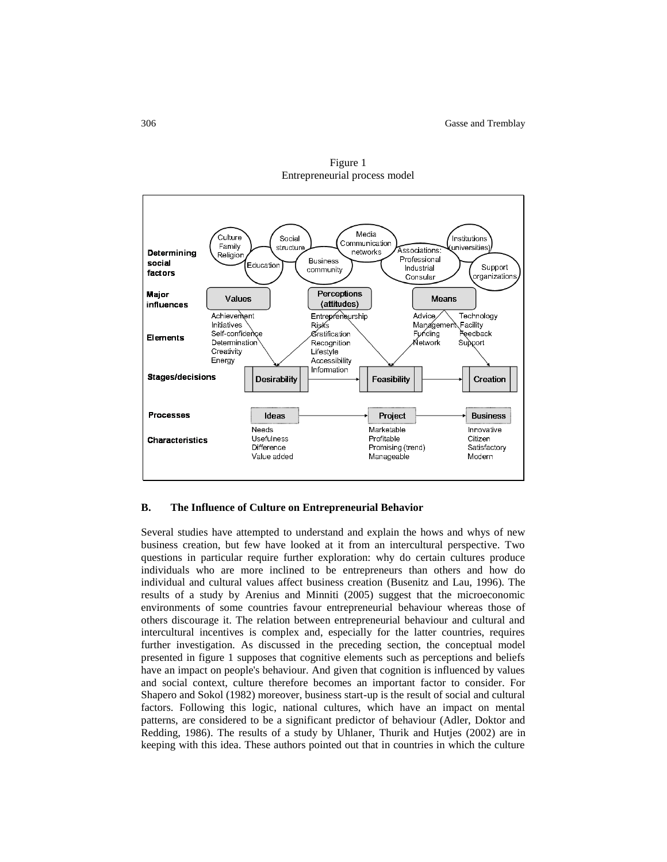

Figure 1 Entrepreneurial process model

#### **B. The Influence of Culture on Entrepreneurial Behavior**

Several studies have attempted to understand and explain the hows and whys of new business creation, but few have looked at it from an intercultural perspective. Two questions in particular require further exploration: why do certain cultures produce individuals who are more inclined to be entrepreneurs than others and how do individual and cultural values affect business creation (Busenitz and Lau, 1996). The results of a study by Arenius and Minniti (2005) suggest that the microeconomic environments of some countries favour entrepreneurial behaviour whereas those of others discourage it. The relation between entrepreneurial behaviour and cultural and intercultural incentives is complex and, especially for the latter countries, requires further investigation. As discussed in the preceding section, the conceptual model presented in figure 1 supposes that cognitive elements such as perceptions and beliefs have an impact on people's behaviour. And given that cognition is influenced by values and social context, culture therefore becomes an important factor to consider. For Shapero and Sokol (1982) moreover, business start-up is the result of social and cultural factors. Following this logic, national cultures, which have an impact on mental patterns, are considered to be a significant predictor of behaviour (Adler, Doktor and Redding, 1986). The results of a study by Uhlaner. Thurik and Hutjes (2002) are in keeping with this idea. These authors pointed out that in countries in which the culture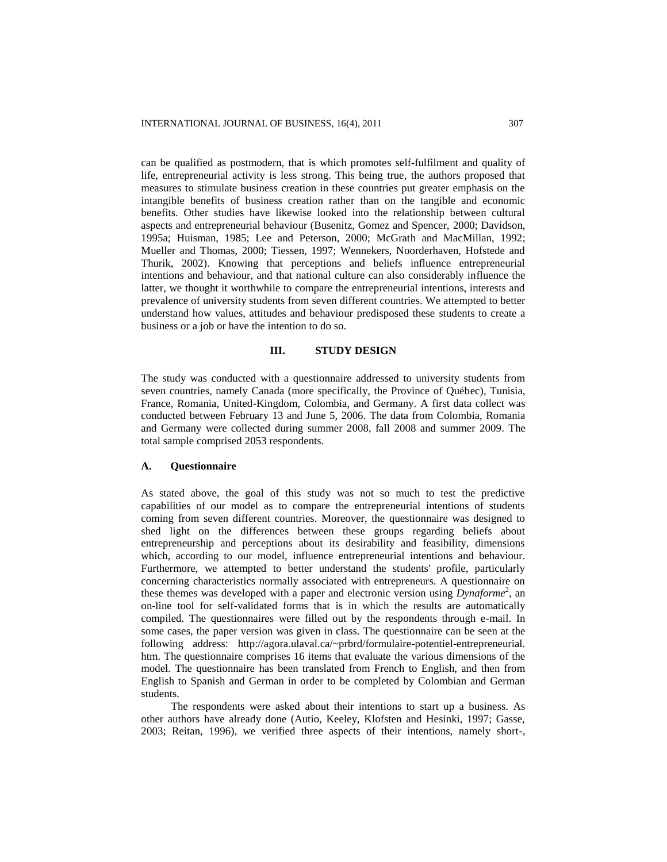can be qualified as postmodern, that is which promotes self-fulfilment and quality of life, entrepreneurial activity is less strong. This being true, the authors proposed that measures to stimulate business creation in these countries put greater emphasis on the intangible benefits of business creation rather than on the tangible and economic benefits. Other studies have likewise looked into the relationship between cultural aspects and entrepreneurial behaviour (Busenitz, Gomez and Spencer, 2000; Davidson, 1995a; Huisman, 1985; Lee and Peterson, 2000; McGrath and MacMillan, 1992; Mueller and Thomas, 2000; Tiessen, 1997; Wennekers, Noorderhaven, Hofstede and Thurik, 2002). Knowing that perceptions and beliefs influence entrepreneurial intentions and behaviour, and that national culture can also considerably influence the latter, we thought it worthwhile to compare the entrepreneurial intentions, interests and prevalence of university students from seven different countries. We attempted to better understand how values, attitudes and behaviour predisposed these students to create a business or a job or have the intention to do so.

## **III. STUDY DESIGN**

The study was conducted with a questionnaire addressed to university students from seven countries, namely Canada (more specifically, the Province of Québec), Tunisia, France, Romania, United-Kingdom, Colombia, and Germany. A first data collect was conducted between February 13 and June 5, 2006. The data from Colombia, Romania and Germany were collected during summer 2008, fall 2008 and summer 2009. The total sample comprised 2053 respondents.

# **A. Questionnaire**

As stated above, the goal of this study was not so much to test the predictive capabilities of our model as to compare the entrepreneurial intentions of students coming from seven different countries. Moreover, the questionnaire was designed to shed light on the differences between these groups regarding beliefs about entrepreneurship and perceptions about its desirability and feasibility, dimensions which, according to our model, influence entrepreneurial intentions and behaviour. Furthermore, we attempted to better understand the students' profile, particularly concerning characteristics normally associated with entrepreneurs. A questionnaire on these themes was developed with a paper and electronic version using *Dynaforme*<sup>2</sup>, an on-line tool for self-validated forms that is in which the results are automatically compiled. The questionnaires were filled out by the respondents through e-mail. In some cases, the paper version was given in class. The questionnaire can be seen at the following address: [http://agora.ulaval.ca/~prbrd/formulaire-potentiel-entrepreneurial.](http://agora.ulaval.ca/~prbrd/formulaire-potentiel-entrepreneurial.%20htm)  [htm.](http://agora.ulaval.ca/~prbrd/formulaire-potentiel-entrepreneurial.%20htm) The questionnaire comprises 16 items that evaluate the various dimensions of the model. The questionnaire has been translated from French to English, and then from English to Spanish and German in order to be completed by Colombian and German students.

The respondents were asked about their intentions to start up a business. As other authors have already done (Autio, Keeley, Klofsten and Hesinki, 1997; Gasse, 2003; Reitan, 1996), we verified three aspects of their intentions, namely short-,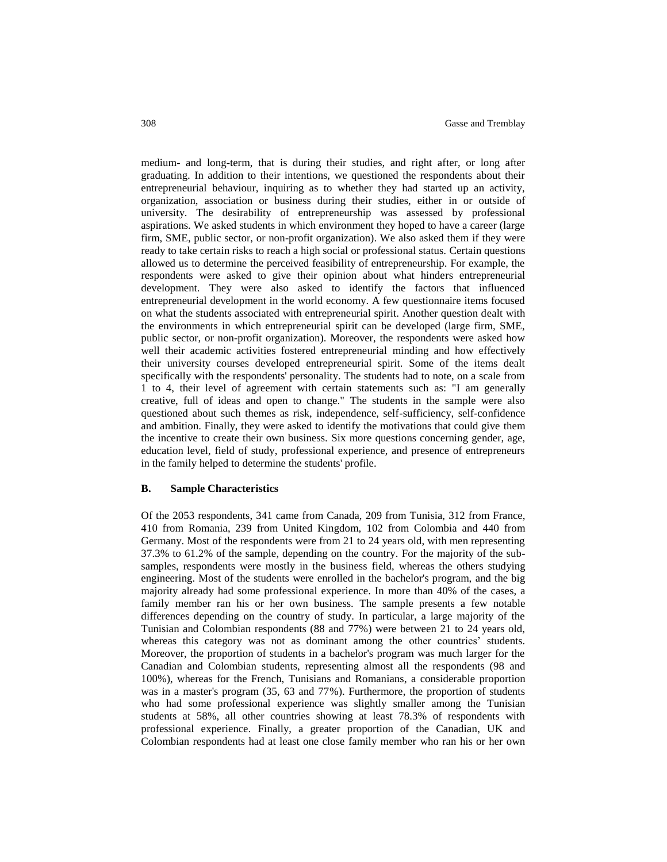medium- and long-term, that is during their studies, and right after, or long after graduating. In addition to their intentions, we questioned the respondents about their entrepreneurial behaviour, inquiring as to whether they had started up an activity, organization, association or business during their studies, either in or outside of university. The desirability of entrepreneurship was assessed by professional aspirations. We asked students in which environment they hoped to have a career (large firm, SME, public sector, or non-profit organization). We also asked them if they were ready to take certain risks to reach a high social or professional status. Certain questions allowed us to determine the perceived feasibility of entrepreneurship. For example, the respondents were asked to give their opinion about what hinders entrepreneurial development. They were also asked to identify the factors that influenced entrepreneurial development in the world economy. A few questionnaire items focused on what the students associated with entrepreneurial spirit. Another question dealt with the environments in which entrepreneurial spirit can be developed (large firm, SME, public sector, or non-profit organization). Moreover, the respondents were asked how well their academic activities fostered entrepreneurial minding and how effectively their university courses developed entrepreneurial spirit. Some of the items dealt specifically with the respondents' personality. The students had to note, on a scale from 1 to 4, their level of agreement with certain statements such as: "I am generally creative, full of ideas and open to change." The students in the sample were also questioned about such themes as risk, independence, self-sufficiency, self-confidence and ambition. Finally, they were asked to identify the motivations that could give them the incentive to create their own business. Six more questions concerning gender, age, education level, field of study, professional experience, and presence of entrepreneurs in the family helped to determine the students' profile.

## **B. Sample Characteristics**

Of the 2053 respondents, 341 came from Canada, 209 from Tunisia, 312 from France, 410 from Romania, 239 from United Kingdom, 102 from Colombia and 440 from Germany. Most of the respondents were from 21 to 24 years old, with men representing 37.3% to 61.2% of the sample, depending on the country. For the majority of the subsamples, respondents were mostly in the business field, whereas the others studying engineering. Most of the students were enrolled in the bachelor's program, and the big majority already had some professional experience. In more than 40% of the cases, a family member ran his or her own business. The sample presents a few notable differences depending on the country of study. In particular, a large majority of the Tunisian and Colombian respondents (88 and 77%) were between 21 to 24 years old, whereas this category was not as dominant among the other countries' students. Moreover, the proportion of students in a bachelor's program was much larger for the Canadian and Colombian students, representing almost all the respondents (98 and 100%), whereas for the French, Tunisians and Romanians, a considerable proportion was in a master's program (35, 63 and 77%). Furthermore, the proportion of students who had some professional experience was slightly smaller among the Tunisian students at 58%, all other countries showing at least 78.3% of respondents with professional experience. Finally, a greater proportion of the Canadian, UK and Colombian respondents had at least one close family member who ran his or her own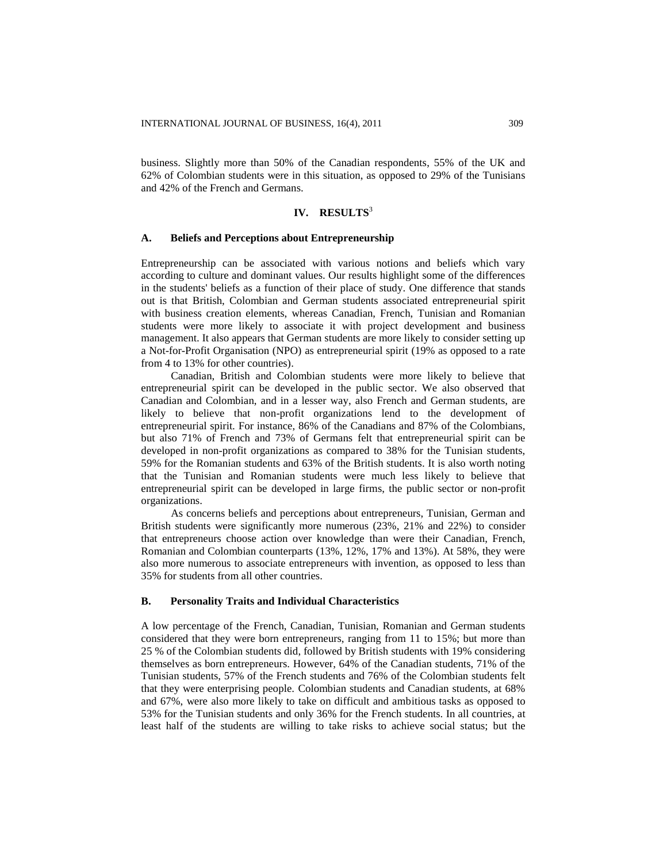business. Slightly more than 50% of the Canadian respondents, 55% of the UK and 62% of Colombian students were in this situation, as opposed to 29% of the Tunisians and 42% of the French and Germans.

## **IV. RESULTS**<sup>3</sup>

## **A. Beliefs and Perceptions about Entrepreneurship**

Entrepreneurship can be associated with various notions and beliefs which vary according to culture and dominant values. Our results highlight some of the differences in the students' beliefs as a function of their place of study. One difference that stands out is that British, Colombian and German students associated entrepreneurial spirit with business creation elements, whereas Canadian, French, Tunisian and Romanian students were more likely to associate it with project development and business management. It also appears that German students are more likely to consider setting up a Not-for-Profit Organisation (NPO) as entrepreneurial spirit (19% as opposed to a rate from 4 to 13% for other countries).

Canadian, British and Colombian students were more likely to believe that entrepreneurial spirit can be developed in the public sector. We also observed that Canadian and Colombian, and in a lesser way, also French and German students, are likely to believe that non-profit organizations lend to the development of entrepreneurial spirit. For instance, 86% of the Canadians and 87% of the Colombians, but also 71% of French and 73% of Germans felt that entrepreneurial spirit can be developed in non-profit organizations as compared to 38% for the Tunisian students, 59% for the Romanian students and 63% of the British students. It is also worth noting that the Tunisian and Romanian students were much less likely to believe that entrepreneurial spirit can be developed in large firms, the public sector or non-profit organizations.

As concerns beliefs and perceptions about entrepreneurs, Tunisian, German and British students were significantly more numerous (23%, 21% and 22%) to consider that entrepreneurs choose action over knowledge than were their Canadian, French, Romanian and Colombian counterparts (13%, 12%, 17% and 13%). At 58%, they were also more numerous to associate entrepreneurs with invention, as opposed to less than 35% for students from all other countries.

## **B. Personality Traits and Individual Characteristics**

A low percentage of the French, Canadian, Tunisian, Romanian and German students considered that they were born entrepreneurs, ranging from 11 to 15%; but more than 25 % of the Colombian students did, followed by British students with 19% considering themselves as born entrepreneurs. However, 64% of the Canadian students, 71% of the Tunisian students, 57% of the French students and 76% of the Colombian students felt that they were enterprising people. Colombian students and Canadian students, at 68% and 67%, were also more likely to take on difficult and ambitious tasks as opposed to 53% for the Tunisian students and only 36% for the French students. In all countries, at least half of the students are willing to take risks to achieve social status; but the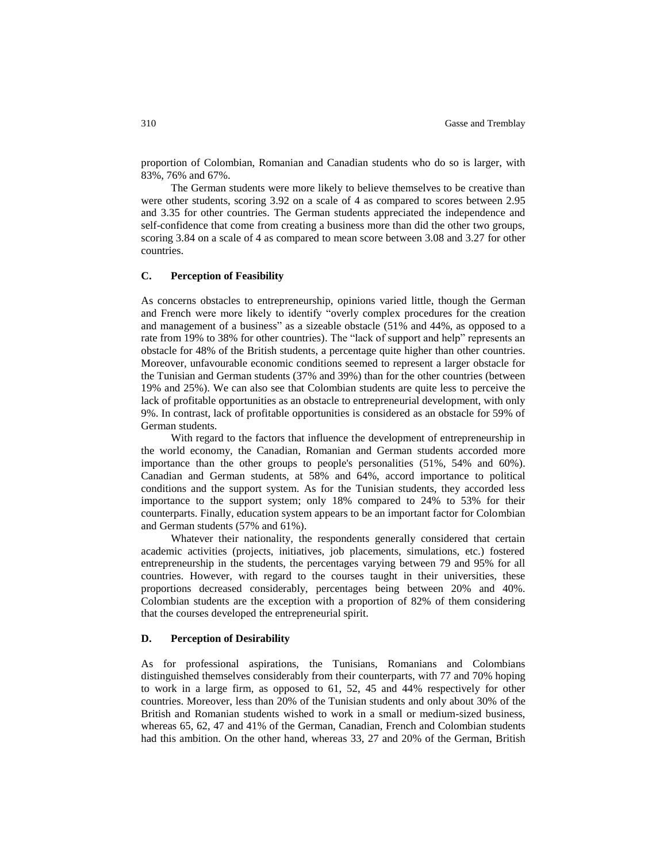proportion of Colombian, Romanian and Canadian students who do so is larger, with 83%, 76% and 67%.

The German students were more likely to believe themselves to be creative than were other students, scoring 3.92 on a scale of 4 as compared to scores between 2.95 and 3.35 for other countries. The German students appreciated the independence and self-confidence that come from creating a business more than did the other two groups, scoring 3.84 on a scale of 4 as compared to mean score between 3.08 and 3.27 for other countries.

# **C. Perception of Feasibility**

As concerns obstacles to entrepreneurship, opinions varied little, though the German and French were more likely to identify "overly complex procedures for the creation and management of a business" as a sizeable obstacle (51% and 44%, as opposed to a rate from 19% to 38% for other countries). The "lack of support and help" represents an obstacle for 48% of the British students, a percentage quite higher than other countries. Moreover, unfavourable economic conditions seemed to represent a larger obstacle for the Tunisian and German students (37% and 39%) than for the other countries (between 19% and 25%). We can also see that Colombian students are quite less to perceive the lack of profitable opportunities as an obstacle to entrepreneurial development, with only 9%. In contrast, lack of profitable opportunities is considered as an obstacle for 59% of German students.

With regard to the factors that influence the development of entrepreneurship in the world economy, the Canadian, Romanian and German students accorded more importance than the other groups to people's personalities (51%, 54% and 60%). Canadian and German students, at 58% and 64%, accord importance to political conditions and the support system. As for the Tunisian students, they accorded less importance to the support system; only 18% compared to 24% to 53% for their counterparts. Finally, education system appears to be an important factor for Colombian and German students (57% and 61%).

Whatever their nationality, the respondents generally considered that certain academic activities (projects, initiatives, job placements, simulations, etc.) fostered entrepreneurship in the students, the percentages varying between 79 and 95% for all countries. However, with regard to the courses taught in their universities, these proportions decreased considerably, percentages being between 20% and 40%. Colombian students are the exception with a proportion of 82% of them considering that the courses developed the entrepreneurial spirit.

## **D. Perception of Desirability**

As for professional aspirations, the Tunisians, Romanians and Colombians distinguished themselves considerably from their counterparts, with 77 and 70% hoping to work in a large firm, as opposed to 61, 52, 45 and 44% respectively for other countries. Moreover, less than 20% of the Tunisian students and only about 30% of the British and Romanian students wished to work in a small or medium-sized business, whereas 65, 62, 47 and 41% of the German, Canadian, French and Colombian students had this ambition. On the other hand, whereas 33, 27 and 20% of the German, British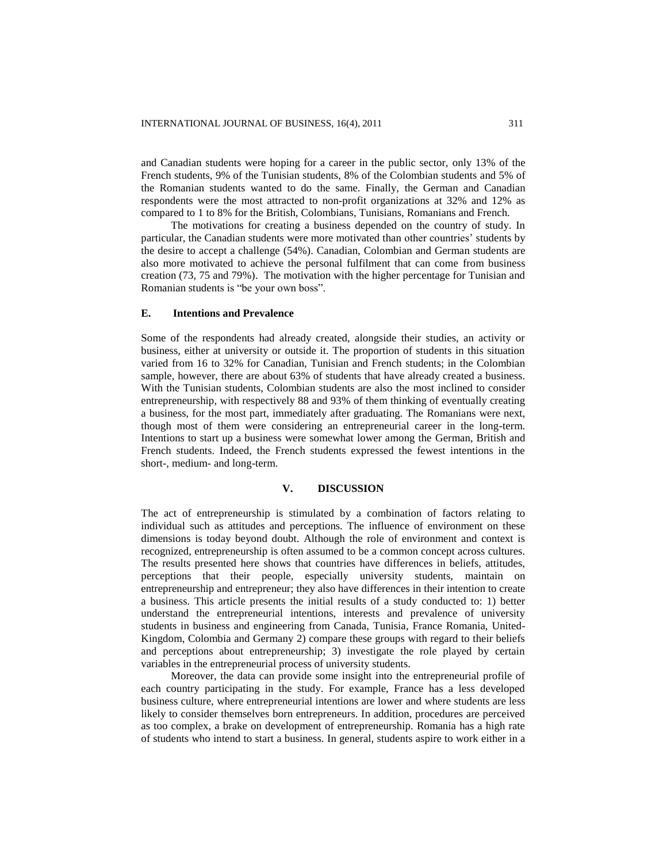and Canadian students were hoping for a career in the public sector, only 13% of the French students, 9% of the Tunisian students, 8% of the Colombian students and 5% of the Romanian students wanted to do the same. Finally, the German and Canadian respondents were the most attracted to non-profit organizations at 32% and 12% as compared to 1 to 8% for the British, Colombians, Tunisians, Romanians and French.

The motivations for creating a business depended on the country of study. In particular, the Canadian students were more motivated than other countries' students by the desire to accept a challenge (54%). Canadian, Colombian and German students are also more motivated to achieve the personal fulfilment that can come from business creation (73, 75 and 79%). The motivation with the higher percentage for Tunisian and Romanian students is "be your own boss".

## **E. Intentions and Prevalence**

Some of the respondents had already created, alongside their studies, an activity or business, either at university or outside it. The proportion of students in this situation varied from 16 to 32% for Canadian, Tunisian and French students; in the Colombian sample, however, there are about 63% of students that have already created a business. With the Tunisian students, Colombian students are also the most inclined to consider entrepreneurship, with respectively 88 and 93% of them thinking of eventually creating a business, for the most part, immediately after graduating. The Romanians were next, though most of them were considering an entrepreneurial career in the long-term. Intentions to start up a business were somewhat lower among the German, British and French students. Indeed, the French students expressed the fewest intentions in the short-, medium- and long-term.

## **V. DISCUSSION**

The act of entrepreneurship is stimulated by a combination of factors relating to individual such as attitudes and perceptions. The influence of environment on these dimensions is today beyond doubt. Although the role of environment and context is recognized, entrepreneurship is often assumed to be a common concept across cultures. The results presented here shows that countries have differences in beliefs, attitudes, perceptions that their people, especially university students, maintain on entrepreneurship and entrepreneur; they also have differences in their intention to create a business. This article presents the initial results of a study conducted to: 1) better understand the entrepreneurial intentions, interests and prevalence of university students in business and engineering from Canada, Tunisia, France Romania, United-Kingdom, Colombia and Germany 2) compare these groups with regard to their beliefs and perceptions about entrepreneurship; 3) investigate the role played by certain variables in the entrepreneurial process of university students.

Moreover, the data can provide some insight into the entrepreneurial profile of each country participating in the study. For example, France has a less developed business culture, where entrepreneurial intentions are lower and where students are less likely to consider themselves born entrepreneurs. In addition, procedures are perceived as too complex, a brake on development of entrepreneurship. Romania has a high rate of students who intend to start a business. In general, students aspire to work either in a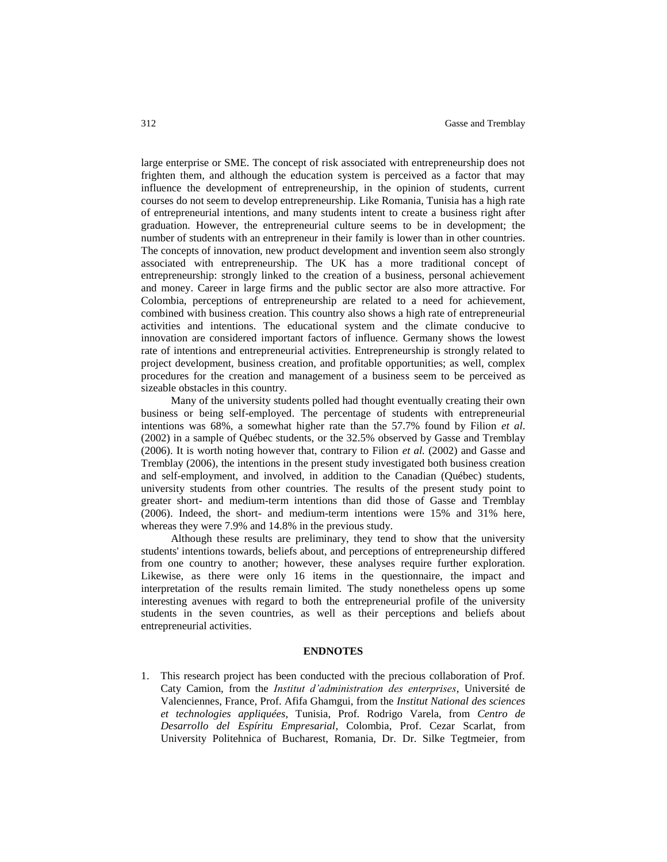large enterprise or SME. The concept of risk associated with entrepreneurship does not frighten them, and although the education system is perceived as a factor that may influence the development of entrepreneurship, in the opinion of students, current courses do not seem to develop entrepreneurship. Like Romania, Tunisia has a high rate of entrepreneurial intentions, and many students intent to create a business right after graduation. However, the entrepreneurial culture seems to be in development; the number of students with an entrepreneur in their family is lower than in other countries. The concepts of innovation, new product development and invention seem also strongly associated with entrepreneurship. The UK has a more traditional concept of entrepreneurship: strongly linked to the creation of a business, personal achievement and money. Career in large firms and the public sector are also more attractive. For Colombia, perceptions of entrepreneurship are related to a need for achievement, combined with business creation. This country also shows a high rate of entrepreneurial activities and intentions. The educational system and the climate conducive to innovation are considered important factors of influence. Germany shows the lowest rate of intentions and entrepreneurial activities. Entrepreneurship is strongly related to project development, business creation, and profitable opportunities; as well, complex procedures for the creation and management of a business seem to be perceived as sizeable obstacles in this country.

Many of the university students polled had thought eventually creating their own business or being self-employed. The percentage of students with entrepreneurial intentions was 68%, a somewhat higher rate than the 57.7% found by Filion *et al*. (2002) in a sample of Québec students, or the 32.5% observed by Gasse and Tremblay (2006). It is worth noting however that, contrary to Filion *et al.* (2002) and Gasse and Tremblay (2006), the intentions in the present study investigated both business creation and self-employment, and involved, in addition to the Canadian (Québec) students, university students from other countries. The results of the present study point to greater short- and medium-term intentions than did those of Gasse and Tremblay (2006). Indeed, the short- and medium-term intentions were 15% and 31% here, whereas they were 7.9% and 14.8% in the previous study.

Although these results are preliminary, they tend to show that the university students' intentions towards, beliefs about, and perceptions of entrepreneurship differed from one country to another; however, these analyses require further exploration. Likewise, as there were only 16 items in the questionnaire, the impact and interpretation of the results remain limited. The study nonetheless opens up some interesting avenues with regard to both the entrepreneurial profile of the university students in the seven countries, as well as their perceptions and beliefs about entrepreneurial activities.

#### **ENDNOTES**

1. This research project has been conducted with the precious collaboration of Prof. Caty Camion, from the *Institut d'administration des enterprises*, Université de Valenciennes, France, Prof. Afifa Ghamgui, from the *Institut National des sciences et technologies appliquées*, Tunisia, Prof. Rodrigo Varela, from *Centro de Desarrollo del Espíritu Empresarial*, Colombia, Prof. Cezar Scarlat, from University Politehnica of Bucharest, Romania, Dr. Dr. Silke Tegtmeier, from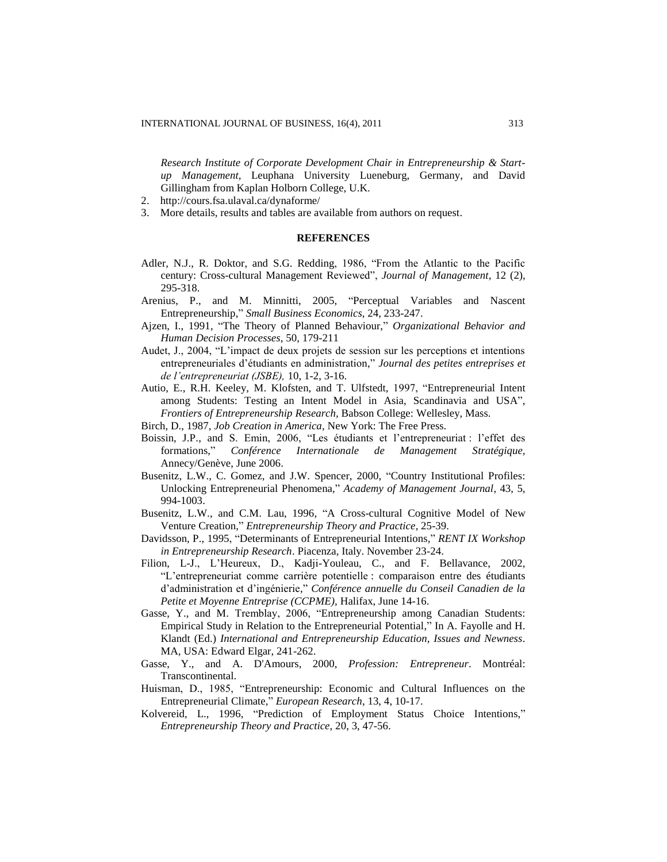*Research Institute of Corporate Development Chair in Entrepreneurship & Startup Management,* Leuphana University Lueneburg, Germany, and David Gillingham from Kaplan Holborn College, U.K.

- 2. <http://cours.fsa.ulaval.ca/dynaforme/>
- 3. More details, results and tables are available from authors on request.

## **REFERENCES**

- Adler, N.J., R. Doktor, and S.G. Redding, 1986, "From the Atlantic to the Pacific century: Cross-cultural Management Reviewed", *Journal of Management*, 12 (2), 295-318.
- Arenius, P., and M. Minnitti, 2005, "Perceptual Variables and Nascent Entrepreneurship," *Small Business Economics*, 24, 233-247.
- Ajzen, I., 1991, "The Theory of Planned Behaviour," *Organizational Behavior and Human Decision Processes*, 50, 179-211
- Audet, J., 2004, "L'impact de deux projets de session sur les perceptions et intentions entrepreneuriales d'étudiants en administration," *Journal des petites entreprises et de l'entrepreneuriat (JSBE),* 10, 1-2, 3-16.
- Autio, E., R.H. Keeley, M. Klofsten, and T. Ulfstedt, 1997, "Entrepreneurial Intent among Students: Testing an Intent Model in Asia, Scandinavia and USA", *Frontiers of Entrepreneurship Research,* Babson College: Wellesley, Mass.
- Birch, D., 1987, *Job Creation in America*, New York: The Free Press.
- Boissin, J.P., and S. Emin, 2006, "Les étudiants et l'entrepreneuriat : l'effet des formations," *Conférence Internationale de Management Stratégique,*  Annecy/Genève, June 2006.
- Busenitz, L.W., C. Gomez, and J.W. Spencer, 2000, "Country Institutional Profiles: Unlocking Entrepreneurial Phenomena," *Academy of Management Journal*, 43, 5, 994-1003.
- Busenitz, L.W., and C.M. Lau, 1996, "A Cross-cultural Cognitive Model of New Venture Creation," *Entrepreneurship Theory and Practice*, 25-39.
- Davidsson, P., 1995, "Determinants of Entrepreneurial Intentions," *RENT IX Workshop in Entrepreneurship Research*. Piacenza, Italy. November 23-24.
- Filion, L-J., L'Heureux, D., Kadji-Youleau, C., and F. Bellavance, 2002, "L'entrepreneuriat comme carrière potentielle : comparaison entre des étudiants d'administration et d'ingénierie," *Conférence annuelle du Conseil Canadien de la Petite et Moyenne Entreprise (CCPME),* Halifax, June 14-16.
- Gasse, Y., and M. Tremblay, 2006, "Entrepreneurship among Canadian Students: Empirical Study in Relation to the Entrepreneurial Potential," In A. Fayolle and H. Klandt (Ed.) *International and Entrepreneurship Education, Issues and Newness*. MA, USA: Edward Elgar, 241-262.
- Gasse, Y., and A. D'Amours, 2000, *Profession: Entrepreneur*. Montréal: Transcontinental.
- Huisman, D., 1985, "Entrepreneurship: Economic and Cultural Influences on the Entrepreneurial Climate," *European Research*, 13, 4, 10-17.
- Kolvereid, L., 1996, "Prediction of Employment Status Choice Intentions," *Entrepreneurship Theory and Practice*, 20, 3, 47-56.